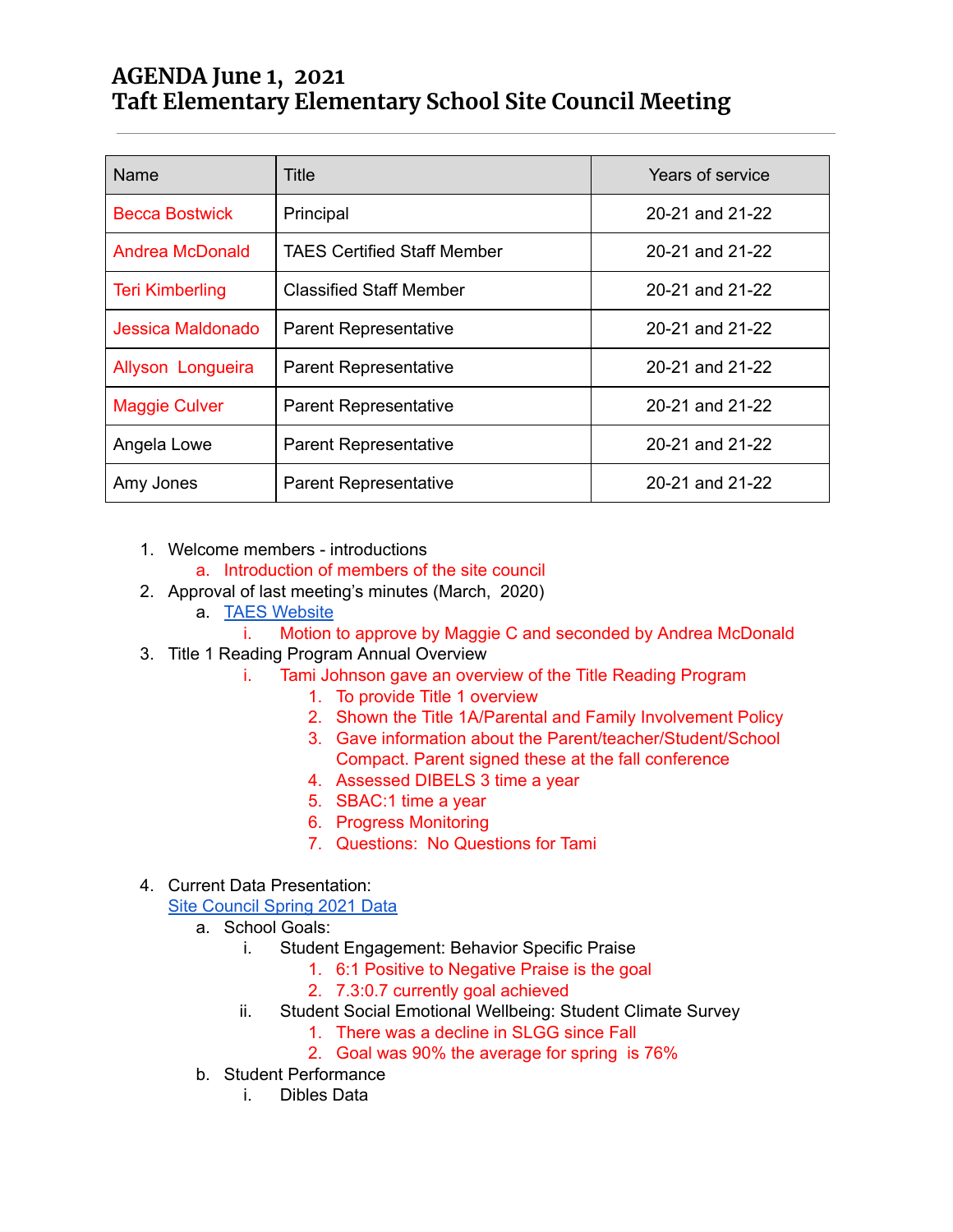## **AGENDA June 1, 2021 Taft Elementary Elementary School Site Council Meeting**

| Name                   | Title                          | Years of service |
|------------------------|--------------------------------|------------------|
| <b>Becca Bostwick</b>  | Principal                      | 20-21 and 21-22  |
| <b>Andrea McDonald</b> | TAES Certified Staff Member    | 20-21 and 21-22  |
| <b>Teri Kimberling</b> | <b>Classified Staff Member</b> | 20-21 and 21-22  |
| Jessica Maldonado      | <b>Parent Representative</b>   | 20-21 and 21-22  |
| Allyson Longueira      | <b>Parent Representative</b>   | 20-21 and 21-22  |
| <b>Maggie Culver</b>   | <b>Parent Representative</b>   | 20-21 and 21-22  |
| Angela Lowe            | <b>Parent Representative</b>   | 20-21 and 21-22  |
| Amy Jones              | <b>Parent Representative</b>   | 20-21 and 21-22  |

- 1. Welcome members introductions
	- a. Introduction of members of the site council
- 2. Approval of last meeting's minutes (March, 2020)
	- a. <u>TAES [Website](https://taft-elem.lincoln.k12.or.us/our-school/site-council/)</u>
		- i. Motion to approve by Maggie C and seconded by Andrea McDonald
- 3. Title 1 Reading Program Annual Overview
	- i. Tami Johnson gave an overview of the Title Reading Program
		- 1. To provide Title 1 overview
		- 2. Shown the Title 1A/Parental and Family Involvement Policy
		- 3. Gave information about the Parent/teacher/Student/School Compact. Parent signed these at the fall conference
		- 4. Assessed DIBELS 3 time a year
		- 5. SBAC:1 time a year
		- 6. Progress Monitoring
		- 7. Questions: No Questions for Tami

## 4. Current Data Presentation:

**Site [Council](https://docs.google.com/presentation/d/1F077rxK7ca88ww9TjFYN4D_NQtCAscgqGMlw1WXXb6U/edit?usp=sharing) Spring 2021 Data** 

- a. School Goals:
	- i. Student Engagement: Behavior Specific Praise
		- 1. 6:1 Positive to Negative Praise is the goal
		- 2. 7.3:0.7 currently goal achieved
	- ii. Student Social Emotional Wellbeing: Student Climate Survey
		- 1. There was a decline in SLGG since Fall
		- 2. Goal was 90% the average for spring is 76%
- b. Student Performance
	- i. Dibles Data